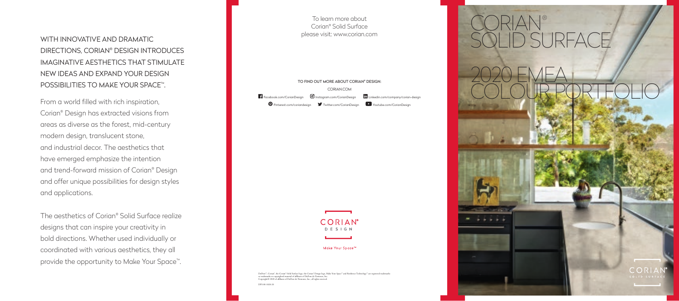To learn more about Corian® Solid Surface please visit: www.corian.com

## TO FIND OUT MORE ABOUT CORIAN® DESIGN: CORIAN.COM Facebook.com/CorianDesign  $\Theta$  Instagram.com/CorianDesign lin Linkedin.com/company/corian-design Pinterest.com/coriandesign Twitter.com/CorianDesign Youtube.com/CorianDesign



Make Your Space<sup>™</sup>

DuPont™, Corian®, the Corian® Solid Surface logo, the Corian® Design logo, Make Your Space™ and Resilience Technology™ are registered trademarks<br>or trademarks or copyrighted material of affiliates of DuPont de Nemours, In

DPS-00-1820-20



WITH INNOVATIVE AND DRAMATIC DIRECTIONS, CORIAN® DESIGN INTRODUCES IMAGINATIVE AESTHETICS THAT STIMULATE NEW IDEAS AND EXPAND YOUR DESIGN POSSIBILITIES TO MAKE YOUR SPACE™.

From a world filled with rich inspiration, Corian® Design has extracted visions from areas as diverse as the forest, mid-century modern design, translucent stone, and industrial decor. The aesthetics that have emerged emphasize the intention and trend-forward mission of Corian® Design and offer unique possibilities for design styles and applications.

The aesthetics of Corian® Solid Surface realize designs that can inspire your creativity in bold directions. Whether used individually or coordinated with various aesthetics, they all provide the opportunity to Make Your Space™.